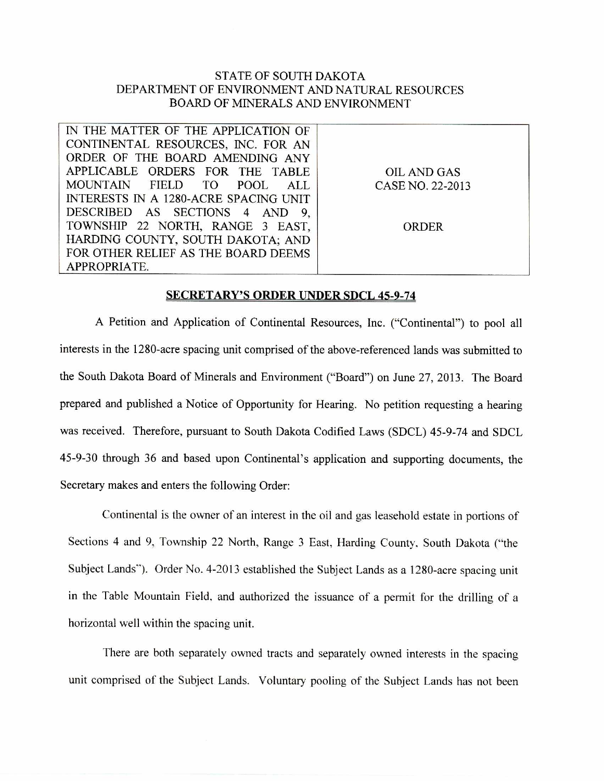## STATE OF SOUTH DAKOTA DEPARTMENT OF ENVIRONMENT AND NATURAL RESOURCES BOARD OF MINERALS AND ENVIRONMENT

| IN THE MATTER OF THE APPLICATION OF   |                  |
|---------------------------------------|------------------|
| CONTINENTAL RESOURCES, INC. FOR AN    |                  |
| ORDER OF THE BOARD AMENDING ANY       |                  |
| APPLICABLE ORDERS FOR THE TABLE       | OIL AND GAS      |
| MOUNTAIN FIELD TO POOL<br>ALL I       | CASE NO. 22-2013 |
| INTERESTS IN A 1280-ACRE SPACING UNIT |                  |
| DESCRIBED AS SECTIONS 4 AND 9,        |                  |
| TOWNSHIP 22 NORTH, RANGE 3 EAST,      | <b>ORDER</b>     |
| HARDING COUNTY, SOUTH DAKOTA; AND     |                  |
| FOR OTHER RELIEF AS THE BOARD DEEMS   |                  |
| APPROPRIATE.                          |                  |

## **SECRETARY'S ORDER UNDER SDCL 45-9-74**

A Petition and Application of Continental Resources, Inc. ("Continental") to pool all interests in the 1280-acre spacing unit comprised of the above-referenced lands was submitted to the South Dakota Board of Minerals and Environment ("Board") on June 27, 2013. The Board prepared and published a Notice of Opportunity for Hearing. No petition requesting a hearing was received. Therefore, pursuant to South Dakota Codified Laws (SDCL) 45-9-74 and SDCL 45-9-30 through 36 and based upon Continental's application and supporting documents, the Secretary makes and enters the following Order:

Continental is the owner of an interest in the oil and gas leasehold estate in portions of Sections 4 and 9, Township 22 North, Range 3 East, Harding County, South Dakota ("the Subject Lands"). Order No. 4-2013 established the Subject Lands as a 1280-acre spacing unit in the Table Mountain Field, and authorized the issuance of a permit for the drilling of a horizontal well within the spacing unit.

There are both separately owned tracts and separately owned interests in the spacing unit comprised of the Subject Lands. Voluntary pooling of the Subject Lands has not been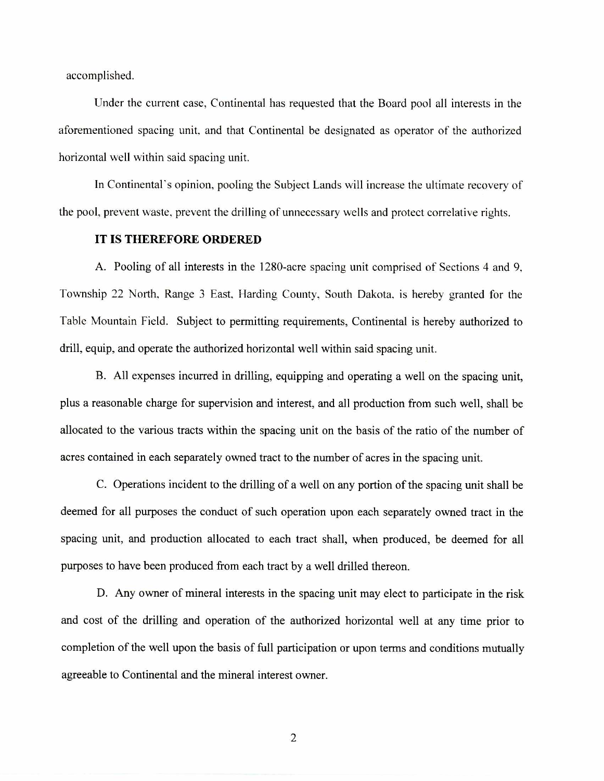accomplished.

Under the current case, Continental has requested that the Board pool all interests in the aforementioned spacing unit, and that Continental be designated as operator of the authorized horizontal well within said spacing unit.

In Continental's opinion, pooling the Subject Lands will increase the ultimate recovery of the pool, prevent waste, prevent the drilling of unnecessary wells and protect correlative rights.

## **IT IS THEREFORE ORDERED**

A. Pooling of all interests in the 1280-acre spacing unit comprised of Sections 4 and 9, Township 22 North, Range 3 East, Harding County, South Dakota, is hereby granted for the Table Mountain Field. Subject to permitting requirements, Continental is hereby authorized to drill, equip, and operate the authorized horizontal well within said spacing unit.

B. All expenses incurred in drilling, equipping and operating a well on the spacing unit, plus a reasonable charge for supervision and interest, and all production from such well, shall be allocated to the various tracts within the spacing unit on the basis of the ratio of the number of acres contained in each separately owned tract to the number of acres in the spacing unit.

C. Operations incident to the drilling of a well on any portion of the spacing unit shall be deemed for all purposes the conduct of such operation upon each separately owned tract in the spacing unit, and production allocated to each tract shall, when produced, be deemed for all purposes to have been produced from each tract by a well drilled thereon.

D. Any owner of mineral interests in the spacing unit may elect to participate in the risk and cost of the drilling and operation of the authorized horizontal well at any time prior to completion of the well upon the basis of full participation or upon terms and conditions mutually agreeable to Continental and the mineral interest owner.

2